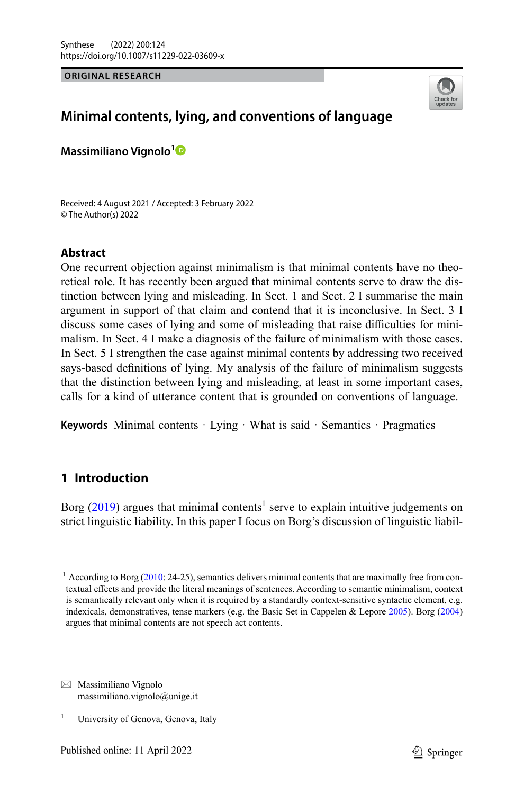**ORIGINAL RESEARCH**



# **Minimal contents, lying, and conventions of language**

**Massimiliano Vignolo[1](http://orcid.org/0000-0003-1432-6290)**

Received: 4 August 2021 / Accepted: 3 February 2022 © The Author(s) 2022

## **Abstract**

One recurrent objection against minimalism is that minimal contents have no theoretical role. It has recently been argued that minimal contents serve to draw the distinction between lying and misleading. In Sect. 1 and Sect. 2 I summarise the main argument in support of that claim and contend that it is inconclusive. In Sect. 3 I discuss some cases of lying and some of misleading that raise difficulties for minimalism. In Sect. 4 I make a diagnosis of the failure of minimalism with those cases. In Sect. 5 I strengthen the case against minimal contents by addressing two received says-based definitions of lying. My analysis of the failure of minimalism suggests that the distinction between lying and misleading, at least in some important cases, calls for a kind of utterance content that is grounded on conventions of language.

**Keywords** Minimal contents · Lying · What is said · Semantics · Pragmatics

## **1 Introduction**

Borg  $(2019)$  $(2019)$  argues that minimal contents<sup>1</sup> serve to explain intuitive judgements on strict linguistic liability. In this paper I focus on Borg's discussion of linguistic liabil-

 $1$  According to Borg ([2010:](#page-23-1) 24-25), semantics delivers minimal contents that are maximally free from contextual effects and provide the literal meanings of sentences. According to semantic minimalism, context is semantically relevant only when it is required by a standardly context-sensitive syntactic element, e.g. indexicals, demonstratives, tense markers (e.g. the Basic Set in Cappelen & Lepore [2005](#page-23-2)). Borg ([2004\)](#page-23-3) argues that minimal contents are not speech act contents.

 $\boxtimes$  Massimiliano Vignolo massimiliano.vignolo@unige.it

University of Genova, Genova, Italy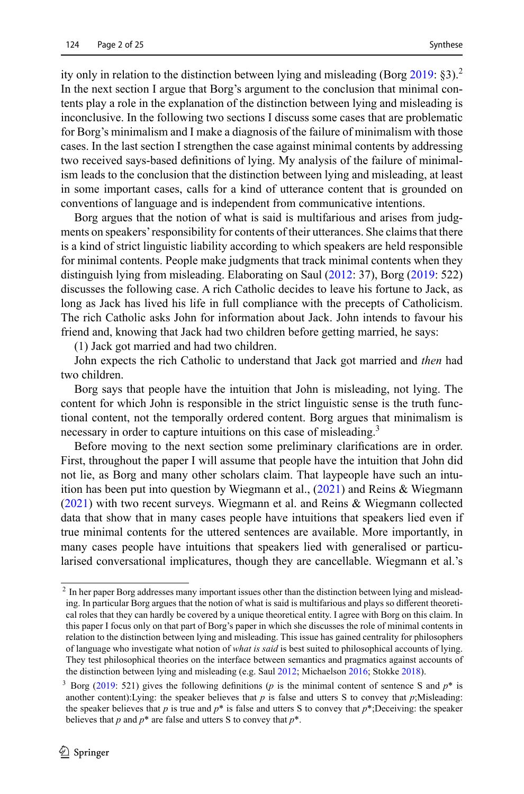ity only in relation to the distinction between lying and misleading (Borg  $2019: §3$  $2019: §3$ ).<sup>2</sup> In the next section I argue that Borg's argument to the conclusion that minimal contents play a role in the explanation of the distinction between lying and misleading is inconclusive. In the following two sections I discuss some cases that are problematic for Borg's minimalism and I make a diagnosis of the failure of minimalism with those cases. In the last section I strengthen the case against minimal contents by addressing two received says-based definitions of lying. My analysis of the failure of minimalism leads to the conclusion that the distinction between lying and misleading, at least in some important cases, calls for a kind of utterance content that is grounded on conventions of language and is independent from communicative intentions.

Borg argues that the notion of what is said is multifarious and arises from judgments on speakers' responsibility for contents of their utterances. She claims that there is a kind of strict linguistic liability according to which speakers are held responsible for minimal contents. People make judgments that track minimal contents when they distinguish lying from misleading. Elaborating on Saul ([2012:](#page-24-0) 37), Borg ([2019:](#page-23-0) 522) discusses the following case. A rich Catholic decides to leave his fortune to Jack, as long as Jack has lived his life in full compliance with the precepts of Catholicism. The rich Catholic asks John for information about Jack. John intends to favour his friend and, knowing that Jack had two children before getting married, he says:

(1) Jack got married and had two children.

John expects the rich Catholic to understand that Jack got married and *then* had two children.

Borg says that people have the intuition that John is misleading, not lying. The content for which John is responsible in the strict linguistic sense is the truth functional content, not the temporally ordered content. Borg argues that minimalism is necessary in order to capture intuitions on this case of misleading.<sup>3</sup>

Before moving to the next section some preliminary clarifications are in order. First, throughout the paper I will assume that people have the intuition that John did not lie, as Borg and many other scholars claim. That laypeople have such an intuition has been put into question by Wiegmann et al., ([2021](#page-24-1)) and Reins & Wiegmann [\(2021](#page-24-2)) with two recent surveys. Wiegmann et al. and Reins & Wiegmann collected data that show that in many cases people have intuitions that speakers lied even if true minimal contents for the uttered sentences are available. More importantly, in many cases people have intuitions that speakers lied with generalised or particularised conversational implicatures, though they are cancellable. Wiegmann et al.'s

<sup>&</sup>lt;sup>2</sup> In her paper Borg addresses many important issues other than the distinction between lying and misleading. In particular Borg argues that the notion of what is said is multifarious and plays so different theoretical roles that they can hardly be covered by a unique theoretical entity. I agree with Borg on this claim. In this paper I focus only on that part of Borg's paper in which she discusses the role of minimal contents in relation to the distinction between lying and misleading. This issue has gained centrality for philosophers of language who investigate what notion of *what is said* is best suited to philosophical accounts of lying. They test philosophical theories on the interface between semantics and pragmatics against accounts of the distinction between lying and misleading (e.g. Saul [2012](#page-24-0); Michaelson [2016;](#page-24-3) Stokke [2018](#page-24-4)).

<sup>3</sup> Borg ([2019](#page-23-0): 521) gives the following definitions (*p* is the minimal content of sentence S and *p*\* is another content):Lying: the speaker believes that  $p$  is false and utters S to convey that  $p$ ;Misleading: the speaker believes that *p* is true and  $p^*$  is false and utters S to convey that  $p^*$ ;Deceiving: the speaker believes that  $p$  and  $p^*$  are false and utters S to convey that  $p^*$ .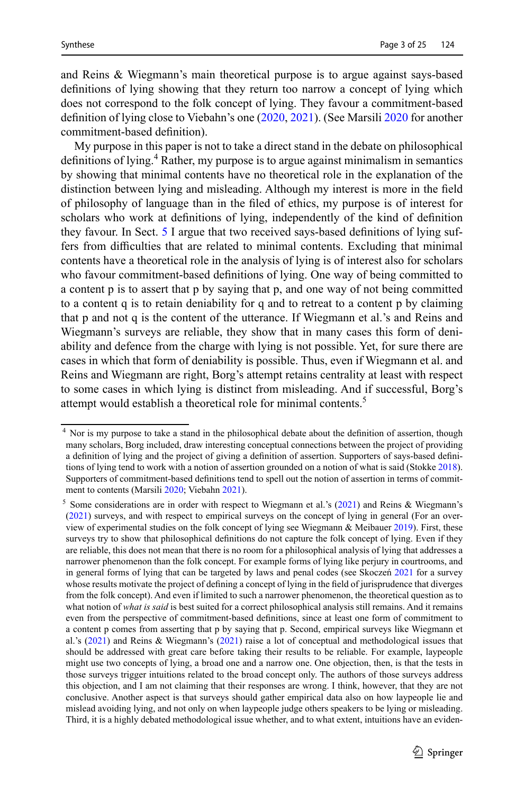and Reins & Wiegmann's main theoretical purpose is to argue against says-based definitions of lying showing that they return too narrow a concept of lying which does not correspond to the folk concept of lying. They favour a commitment-based definition of lying close to Viebahn's one ([2020,](#page-24-5) [2021](#page-24-6)). (See Marsili [2020](#page-24-7) for another commitment-based definition).

My purpose in this paper is not to take a direct stand in the debate on philosophical definitions of lying.<sup>4</sup> Rather, my purpose is to argue against minimalism in semantics by showing that minimal contents have no theoretical role in the explanation of the distinction between lying and misleading. Although my interest is more in the field of philosophy of language than in the filed of ethics, my purpose is of interest for scholars who work at definitions of lying, independently of the kind of definition they favour. In Sect. [5](#page-18-0) I argue that two received says-based definitions of lying suffers from difficulties that are related to minimal contents. Excluding that minimal contents have a theoretical role in the analysis of lying is of interest also for scholars who favour commitment-based definitions of lying. One way of being committed to a content p is to assert that p by saying that p, and one way of not being committed to a content q is to retain deniability for q and to retreat to a content p by claiming that p and not q is the content of the utterance. If Wiegmann et al.'s and Reins and Wiegmann's surveys are reliable, they show that in many cases this form of deniability and defence from the charge with lying is not possible. Yet, for sure there are cases in which that form of deniability is possible. Thus, even if Wiegmann et al. and Reins and Wiegmann are right, Borg's attempt retains centrality at least with respect to some cases in which lying is distinct from misleading. And if successful, Borg's attempt would establish a theoretical role for minimal contents.<sup>5</sup>

<sup>&</sup>lt;sup>4</sup> Nor is my purpose to take a stand in the philosophical debate about the definition of assertion, though many scholars, Borg included, draw interesting conceptual connections between the project of providing a definition of lying and the project of giving a definition of assertion. Supporters of says-based definitions of lying tend to work with a notion of assertion grounded on a notion of what is said (Stokke [2018\)](#page-24-4). Supporters of commitment-based definitions tend to spell out the notion of assertion in terms of commitment to contents (Marsili [2020](#page-24-7); Viebahn [2021\)](#page-24-6).

<sup>&</sup>lt;sup>5</sup> Some considerations are in order with respect to Wiegmann et al.'s ([2021](#page-24-1)) and Reins & Wiegmann's ([2021\)](#page-24-2) surveys, and with respect to empirical surveys on the concept of lying in general (For an overview of experimental studies on the folk concept of lying see Wiegmann & Meibauer [2019](#page-24-8)). First, these surveys try to show that philosophical definitions do not capture the folk concept of lying. Even if they are reliable, this does not mean that there is no room for a philosophical analysis of lying that addresses a narrower phenomenon than the folk concept. For example forms of lying like perjury in courtrooms, and in general forms of lying that can be targeted by laws and penal codes (see Skoczeń [2021](#page-24-9) for a survey whose results motivate the project of defining a concept of lying in the field of jurisprudence that diverges from the folk concept). And even if limited to such a narrower phenomenon, the theoretical question as to what notion of *what is said* is best suited for a correct philosophical analysis still remains. And it remains even from the perspective of commitment-based definitions, since at least one form of commitment to a content p comes from asserting that p by saying that p. Second, empirical surveys like Wiegmann et al.'s ([2021](#page-24-1)) and Reins & Wiegmann's ([2021\)](#page-24-2) raise a lot of conceptual and methodological issues that should be addressed with great care before taking their results to be reliable. For example, laypeople might use two concepts of lying, a broad one and a narrow one. One objection, then, is that the tests in those surveys trigger intuitions related to the broad concept only. The authors of those surveys address this objection, and I am not claiming that their responses are wrong. I think, however, that they are not conclusive. Another aspect is that surveys should gather empirical data also on how laypeople lie and mislead avoiding lying, and not only on when laypeople judge others speakers to be lying or misleading. Third, it is a highly debated methodological issue whether, and to what extent, intuitions have an eviden-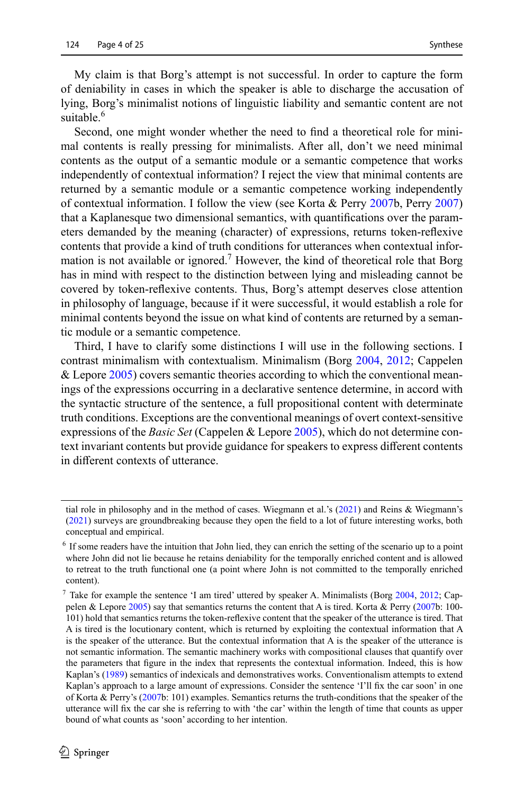My claim is that Borg's attempt is not successful. In order to capture the form of deniability in cases in which the speaker is able to discharge the accusation of lying, Borg's minimalist notions of linguistic liability and semantic content are not suitable.<sup>6</sup>

Second, one might wonder whether the need to find a theoretical role for minimal contents is really pressing for minimalists. After all, don't we need minimal contents as the output of a semantic module or a semantic competence that works independently of contextual information? I reject the view that minimal contents are returned by a semantic module or a semantic competence working independently of contextual information. I follow the view (see Korta & Perry [2007](#page-24-10)b, Perry [2007](#page-24-11)) that a Kaplanesque two dimensional semantics, with quantifications over the parameters demanded by the meaning (character) of expressions, returns token-reflexive contents that provide a kind of truth conditions for utterances when contextual information is not available or ignored.<sup>7</sup> However, the kind of theoretical role that Borg has in mind with respect to the distinction between lying and misleading cannot be covered by token-reflexive contents. Thus, Borg's attempt deserves close attention in philosophy of language, because if it were successful, it would establish a role for minimal contents beyond the issue on what kind of contents are returned by a semantic module or a semantic competence.

Third, I have to clarify some distinctions I will use in the following sections. I contrast minimalism with contextualism. Minimalism (Borg [2004,](#page-23-3) [2012;](#page-23-4) Cappelen & Lepore [2005\)](#page-23-2) covers semantic theories according to which the conventional meanings of the expressions occurring in a declarative sentence determine, in accord with the syntactic structure of the sentence, a full propositional content with determinate truth conditions. Exceptions are the conventional meanings of overt context-sensitive expressions of the *Basic Set* (Cappelen & Lepore [2005\)](#page-23-2), which do not determine context invariant contents but provide guidance for speakers to express different contents in different contexts of utterance.

tial role in philosophy and in the method of cases. Wiegmann et al.'s ([2021](#page-24-1)) and Reins & Wiegmann's ([2021](#page-24-2)) surveys are groundbreaking because they open the field to a lot of future interesting works, both conceptual and empirical.

 $<sup>6</sup>$  If some readers have the intuition that John lied, they can enrich the setting of the scenario up to a point</sup> where John did not lie because he retains deniability for the temporally enriched content and is allowed to retreat to the truth functional one (a point where John is not committed to the temporally enriched content).

<sup>7</sup> Take for example the sentence 'I am tired' uttered by speaker A. Minimalists (Borg [2004,](#page-23-3) [2012](#page-23-4); Cappelen & Lepore [2005](#page-23-2)) say that semantics returns the content that A is tired. Korta & Perry ([2007](#page-24-10)b: 100- 101) hold that semantics returns the token-reflexive content that the speaker of the utterance is tired. That A is tired is the locutionary content, which is returned by exploiting the contextual information that A is the speaker of the utterance. But the contextual information that A is the speaker of the utterance is not semantic information. The semantic machinery works with compositional clauses that quantify over the parameters that figure in the index that represents the contextual information. Indeed, this is how Kaplan's [\(1989](#page-23-5)) semantics of indexicals and demonstratives works. Conventionalism attempts to extend Kaplan's approach to a large amount of expressions. Consider the sentence 'I'll fix the car soon' in one of Korta & Perry's ([2007](#page-24-10)b: 101) examples. Semantics returns the truth-conditions that the speaker of the utterance will fix the car she is referring to with 'the car' within the length of time that counts as upper bound of what counts as 'soon' according to her intention.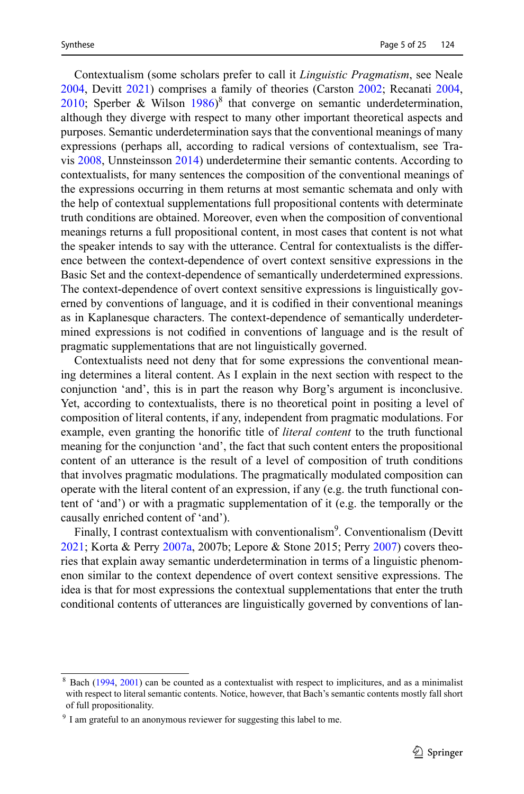Contextualism (some scholars prefer to call it *Linguistic Pragmatism*, see Neale [2004](#page-24-12), Devitt [2021\)](#page-23-6) comprises a family of theories (Carston [2002;](#page-23-7) Recanati [2004,](#page-24-13) [2010](#page-24-14); Sperber & Wilson  $1986$ <sup>8</sup> that converge on semantic underdetermination, although they diverge with respect to many other important theoretical aspects and purposes. Semantic underdetermination says that the conventional meanings of many expressions (perhaps all, according to radical versions of contextualism, see Travis [2008](#page-24-16), Unnsteinsson [2014](#page-24-17)) underdetermine their semantic contents. According to contextualists, for many sentences the composition of the conventional meanings of the expressions occurring in them returns at most semantic schemata and only with the help of contextual supplementations full propositional contents with determinate truth conditions are obtained. Moreover, even when the composition of conventional meanings returns a full propositional content, in most cases that content is not what the speaker intends to say with the utterance. Central for contextualists is the difference between the context-dependence of overt context sensitive expressions in the Basic Set and the context-dependence of semantically underdetermined expressions. The context-dependence of overt context sensitive expressions is linguistically governed by conventions of language, and it is codified in their conventional meanings as in Kaplanesque characters. The context-dependence of semantically underdetermined expressions is not codified in conventions of language and is the result of pragmatic supplementations that are not linguistically governed.

Contextualists need not deny that for some expressions the conventional meaning determines a literal content. As I explain in the next section with respect to the conjunction 'and', this is in part the reason why Borg's argument is inconclusive. Yet, according to contextualists, there is no theoretical point in positing a level of composition of literal contents, if any, independent from pragmatic modulations. For example, even granting the honorific title of *literal content* to the truth functional meaning for the conjunction 'and', the fact that such content enters the propositional content of an utterance is the result of a level of composition of truth conditions that involves pragmatic modulations. The pragmatically modulated composition can operate with the literal content of an expression, if any (e.g. the truth functional content of 'and') or with a pragmatic supplementation of it (e.g. the temporally or the causally enriched content of 'and').

Finally, I contrast contextualism with conventionalism<sup>9</sup>. Conventionalism (Devitt [2021](#page-23-6); Korta & Perry [2007a](#page-23-8), 2007b; Lepore & Stone 2015; Perry [2007](#page-24-11)) covers theories that explain away semantic underdetermination in terms of a linguistic phenomenon similar to the context dependence of overt context sensitive expressions. The idea is that for most expressions the contextual supplementations that enter the truth conditional contents of utterances are linguistically governed by conventions of lan-

<sup>8</sup> Bach [\(1994](#page-23-9), [2001\)](#page-23-10) can be counted as a contextualist with respect to implicitures, and as a minimalist with respect to literal semantic contents. Notice, however, that Bach's semantic contents mostly fall short of full propositionality.

<sup>&</sup>lt;sup>9</sup> I am grateful to an anonymous reviewer for suggesting this label to me.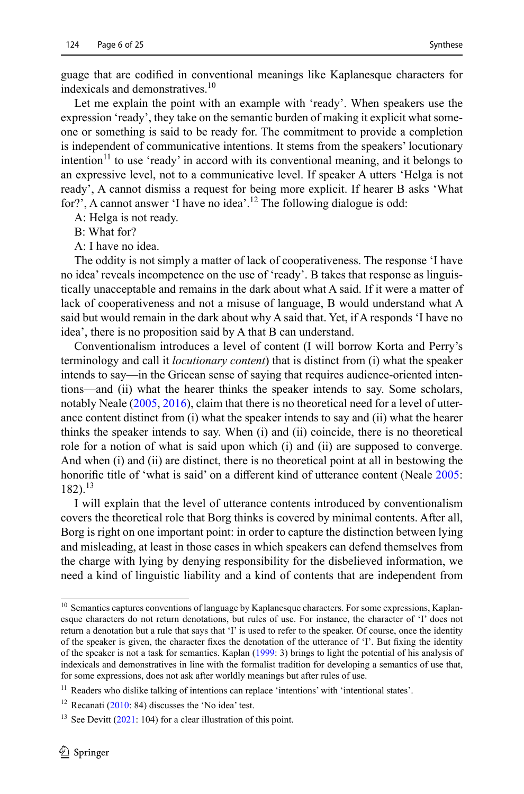guage that are codified in conventional meanings like Kaplanesque characters for indexicals and demonstratives.<sup>10</sup>

Let me explain the point with an example with 'ready'. When speakers use the expression 'ready', they take on the semantic burden of making it explicit what someone or something is said to be ready for. The commitment to provide a completion is independent of communicative intentions. It stems from the speakers' locutionary intention<sup>11</sup> to use 'ready' in accord with its conventional meaning, and it belongs to an expressive level, not to a communicative level. If speaker A utters 'Helga is not ready', A cannot dismiss a request for being more explicit. If hearer B asks 'What for?', A cannot answer 'I have no idea'.<sup>12</sup> The following dialogue is odd:

A: Helga is not ready.

B: What for?

A: I have no idea.

The oddity is not simply a matter of lack of cooperativeness. The response 'I have no idea' reveals incompetence on the use of 'ready'. B takes that response as linguistically unacceptable and remains in the dark about what A said. If it were a matter of lack of cooperativeness and not a misuse of language, B would understand what A said but would remain in the dark about why A said that. Yet, if A responds 'I have no idea', there is no proposition said by A that B can understand.

Conventionalism introduces a level of content (I will borrow Korta and Perry's terminology and call it *locutionary content*) that is distinct from (i) what the speaker intends to say—in the Gricean sense of saying that requires audience-oriented intentions—and (ii) what the hearer thinks the speaker intends to say. Some scholars, notably Neale ([2005,](#page-24-18) [2016\)](#page-24-19), claim that there is no theoretical need for a level of utterance content distinct from (i) what the speaker intends to say and (ii) what the hearer thinks the speaker intends to say. When (i) and (ii) coincide, there is no theoretical role for a notion of what is said upon which (i) and (ii) are supposed to converge. And when (i) and (ii) are distinct, there is no theoretical point at all in bestowing the honorific title of 'what is said' on a different kind of utterance content (Neale [2005:](#page-24-18) 182).<sup>13</sup>

I will explain that the level of utterance contents introduced by conventionalism covers the theoretical role that Borg thinks is covered by minimal contents. After all, Borg is right on one important point: in order to capture the distinction between lying and misleading, at least in those cases in which speakers can defend themselves from the charge with lying by denying responsibility for the disbelieved information, we need a kind of linguistic liability and a kind of contents that are independent from

<sup>&</sup>lt;sup>10</sup> Semantics captures conventions of language by Kaplanesque characters. For some expressions, Kaplanesque characters do not return denotations, but rules of use. For instance, the character of 'I' does not return a denotation but a rule that says that 'I' is used to refer to the speaker. Of course, once the identity of the speaker is given, the character fixes the denotation of the utterance of 'I'. But fixing the identity of the speaker is not a task for semantics. Kaplan [\(1999](#page-23-11): 3) brings to light the potential of his analysis of indexicals and demonstratives in line with the formalist tradition for developing a semantics of use that, for some expressions, does not ask after worldly meanings but after rules of use.

<sup>&</sup>lt;sup>11</sup> Readers who dislike talking of intentions can replace 'intentions' with 'intentional states'.

 $12$  Recanati [\(2010](#page-24-14): 84) discusses the 'No idea' test.

<sup>&</sup>lt;sup>13</sup> See Devitt  $(2021: 104)$  $(2021: 104)$  $(2021: 104)$  for a clear illustration of this point.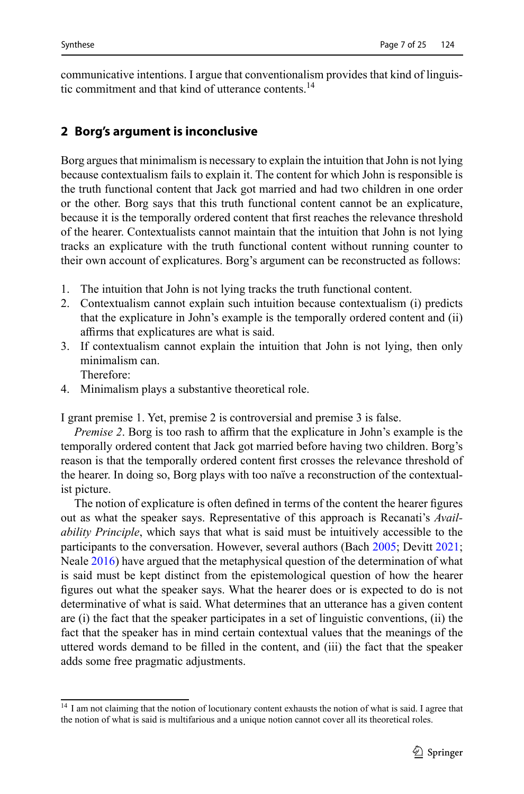communicative intentions. I argue that conventionalism provides that kind of linguistic commitment and that kind of utterance contents.<sup>14</sup>

## **2 Borg's argument is inconclusive**

Borg argues that minimalism is necessary to explain the intuition that John is not lying because contextualism fails to explain it. The content for which John is responsible is the truth functional content that Jack got married and had two children in one order or the other. Borg says that this truth functional content cannot be an explicature, because it is the temporally ordered content that first reaches the relevance threshold of the hearer. Contextualists cannot maintain that the intuition that John is not lying tracks an explicature with the truth functional content without running counter to their own account of explicatures. Borg's argument can be reconstructed as follows:

- 1. The intuition that John is not lying tracks the truth functional content.
- 2. Contextualism cannot explain such intuition because contextualism (i) predicts that the explicature in John's example is the temporally ordered content and (ii) affirms that explicatures are what is said.
- 3. If contextualism cannot explain the intuition that John is not lying, then only minimalism can.
	- Therefore:
- 4. Minimalism plays a substantive theoretical role.

I grant premise 1. Yet, premise 2 is controversial and premise 3 is false.

*Premise 2*. Borg is too rash to affirm that the explicature in John's example is the temporally ordered content that Jack got married before having two children. Borg's reason is that the temporally ordered content first crosses the relevance threshold of the hearer. In doing so, Borg plays with too naïve a reconstruction of the contextualist picture.

The notion of explicature is often defined in terms of the content the hearer figures out as what the speaker says. Representative of this approach is Recanati's *Availability Principle*, which says that what is said must be intuitively accessible to the participants to the conversation. However, several authors (Bach [2005;](#page-23-12) Devitt [2021;](#page-23-6) Neale [2016\)](#page-24-19) have argued that the metaphysical question of the determination of what is said must be kept distinct from the epistemological question of how the hearer figures out what the speaker says. What the hearer does or is expected to do is not determinative of what is said. What determines that an utterance has a given content are (i) the fact that the speaker participates in a set of linguistic conventions, (ii) the fact that the speaker has in mind certain contextual values that the meanings of the uttered words demand to be filled in the content, and (iii) the fact that the speaker adds some free pragmatic adjustments.

<sup>&</sup>lt;sup>14</sup> I am not claiming that the notion of locutionary content exhausts the notion of what is said. I agree that the notion of what is said is multifarious and a unique notion cannot cover all its theoretical roles.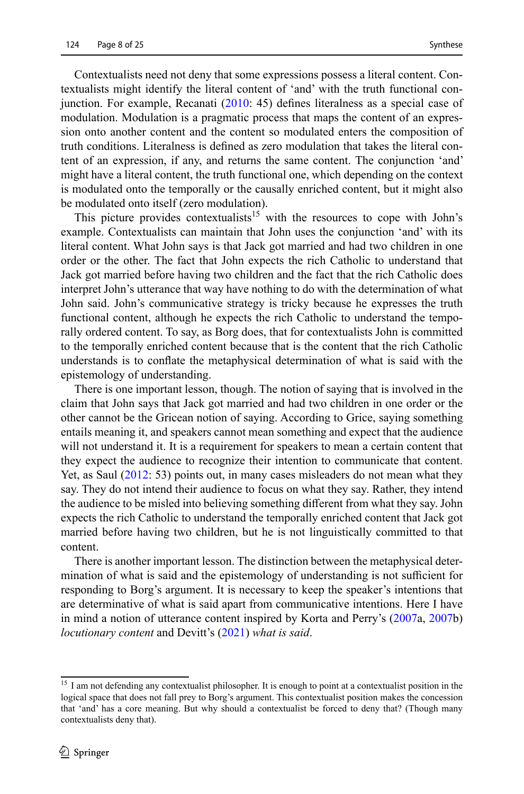Contextualists need not deny that some expressions possess a literal content. Contextualists might identify the literal content of 'and' with the truth functional conjunction. For example, Recanati [\(2010](#page-24-14): 45) defines literalness as a special case of modulation. Modulation is a pragmatic process that maps the content of an expression onto another content and the content so modulated enters the composition of truth conditions. Literalness is defined as zero modulation that takes the literal content of an expression, if any, and returns the same content. The conjunction 'and' might have a literal content, the truth functional one, which depending on the context is modulated onto the temporally or the causally enriched content, but it might also be modulated onto itself (zero modulation).

This picture provides contextualists<sup>15</sup> with the resources to cope with John's example. Contextualists can maintain that John uses the conjunction 'and' with its literal content. What John says is that Jack got married and had two children in one order or the other. The fact that John expects the rich Catholic to understand that Jack got married before having two children and the fact that the rich Catholic does interpret John's utterance that way have nothing to do with the determination of what John said. John's communicative strategy is tricky because he expresses the truth functional content, although he expects the rich Catholic to understand the temporally ordered content. To say, as Borg does, that for contextualists John is committed to the temporally enriched content because that is the content that the rich Catholic understands is to conflate the metaphysical determination of what is said with the epistemology of understanding.

There is one important lesson, though. The notion of saying that is involved in the claim that John says that Jack got married and had two children in one order or the other cannot be the Gricean notion of saying. According to Grice, saying something entails meaning it, and speakers cannot mean something and expect that the audience will not understand it. It is a requirement for speakers to mean a certain content that they expect the audience to recognize their intention to communicate that content. Yet, as Saul ([2012:](#page-24-0) 53) points out, in many cases misleaders do not mean what they say. They do not intend their audience to focus on what they say. Rather, they intend the audience to be misled into believing something different from what they say. John expects the rich Catholic to understand the temporally enriched content that Jack got married before having two children, but he is not linguistically committed to that content.

There is another important lesson. The distinction between the metaphysical determination of what is said and the epistemology of understanding is not sufficient for responding to Borg's argument. It is necessary to keep the speaker's intentions that are determinative of what is said apart from communicative intentions. Here I have in mind a notion of utterance content inspired by Korta and Perry's ([2007](#page-23-8)a, [2007](#page-24-10)b) *locutionary content* and Devitt's ([2021\)](#page-23-6) *what is said*.

<sup>&</sup>lt;sup>15</sup> I am not defending any contextualist philosopher. It is enough to point at a contextualist position in the logical space that does not fall prey to Borg's argument. This contextualist position makes the concession that 'and' has a core meaning. But why should a contextualist be forced to deny that? (Though many contextualists deny that).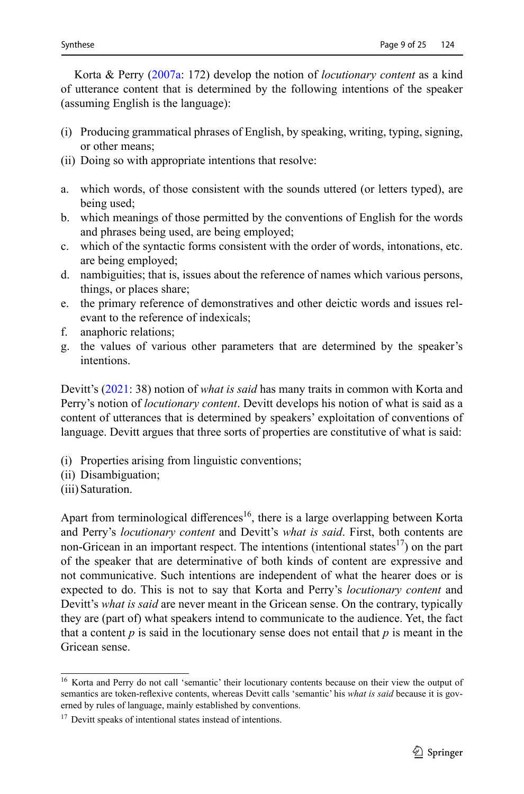Korta & Perry ([2007a:](#page-23-8) 172) develop the notion of *locutionary content* as a kind of utterance content that is determined by the following intentions of the speaker (assuming English is the language):

- (i) Producing grammatical phrases of English, by speaking, writing, typing, signing, or other means;
- (ii) Doing so with appropriate intentions that resolve:
- a. which words, of those consistent with the sounds uttered (or letters typed), are being used;
- b. which meanings of those permitted by the conventions of English for the words and phrases being used, are being employed;
- c. which of the syntactic forms consistent with the order of words, intonations, etc. are being employed;
- d. nambiguities; that is, issues about the reference of names which various persons, things, or places share;
- e. the primary reference of demonstratives and other deictic words and issues relevant to the reference of indexicals;
- f. anaphoric relations;
- g. the values of various other parameters that are determined by the speaker's intentions.

Devitt's [\(2021](#page-23-6): 38) notion of *what is said* has many traits in common with Korta and Perry's notion of *locutionary content*. Devitt develops his notion of what is said as a content of utterances that is determined by speakers' exploitation of conventions of language. Devitt argues that three sorts of properties are constitutive of what is said:

- (i) Properties arising from linguistic conventions;
- (ii) Disambiguation;
- (iii) Saturation.

Apart from terminological differences<sup>16</sup>, there is a large overlapping between Korta and Perry's *locutionary content* and Devitt's *what is said*. First, both contents are non-Gricean in an important respect. The intentions (intentional states $17$ ) on the part of the speaker that are determinative of both kinds of content are expressive and not communicative. Such intentions are independent of what the hearer does or is expected to do. This is not to say that Korta and Perry's *locutionary content* and Devitt's *what is said* are never meant in the Gricean sense. On the contrary, typically they are (part of) what speakers intend to communicate to the audience. Yet, the fact that a content *p* is said in the locutionary sense does not entail that *p* is meant in the Gricean sense.

<sup>&</sup>lt;sup>16</sup> Korta and Perry do not call 'semantic' their locutionary contents because on their view the output of semantics are token-reflexive contents, whereas Devitt calls 'semantic' his *what is said* because it is governed by rules of language, mainly established by conventions.

<sup>&</sup>lt;sup>17</sup> Devitt speaks of intentional states instead of intentions.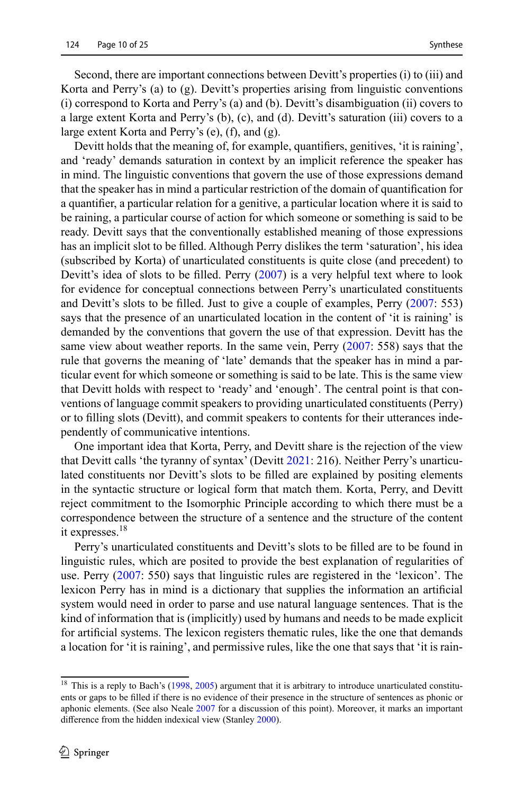Second, there are important connections between Devitt's properties (i) to (iii) and Korta and Perry's (a) to  $(g)$ . Devitt's properties arising from linguistic conventions (i) correspond to Korta and Perry's (a) and (b). Devitt's disambiguation (ii) covers to a large extent Korta and Perry's (b), (c), and (d). Devitt's saturation (iii) covers to a large extent Korta and Perry's (e), (f), and (g).

Devitt holds that the meaning of, for example, quantifiers, genitives, 'it is raining', and 'ready' demands saturation in context by an implicit reference the speaker has in mind. The linguistic conventions that govern the use of those expressions demand that the speaker has in mind a particular restriction of the domain of quantification for a quantifier, a particular relation for a genitive, a particular location where it is said to be raining, a particular course of action for which someone or something is said to be ready. Devitt says that the conventionally established meaning of those expressions has an implicit slot to be filled. Although Perry dislikes the term 'saturation', his idea (subscribed by Korta) of unarticulated constituents is quite close (and precedent) to Devitt's idea of slots to be filled. Perry ([2007](#page-24-11)) is a very helpful text where to look for evidence for conceptual connections between Perry's unarticulated constituents and Devitt's slots to be filled. Just to give a couple of examples, Perry ([2007](#page-24-11): 553) says that the presence of an unarticulated location in the content of 'it is raining' is demanded by the conventions that govern the use of that expression. Devitt has the same view about weather reports. In the same vein, Perry ([2007:](#page-24-11) 558) says that the rule that governs the meaning of 'late' demands that the speaker has in mind a particular event for which someone or something is said to be late. This is the same view that Devitt holds with respect to 'ready' and 'enough'. The central point is that conventions of language commit speakers to providing unarticulated constituents (Perry) or to filling slots (Devitt), and commit speakers to contents for their utterances independently of communicative intentions.

One important idea that Korta, Perry, and Devitt share is the rejection of the view that Devitt calls 'the tyranny of syntax' (Devitt [2021](#page-23-6): 216). Neither Perry's unarticulated constituents nor Devitt's slots to be filled are explained by positing elements in the syntactic structure or logical form that match them. Korta, Perry, and Devitt reject commitment to the Isomorphic Principle according to which there must be a correspondence between the structure of a sentence and the structure of the content it expresses.<sup>18</sup>

Perry's unarticulated constituents and Devitt's slots to be filled are to be found in linguistic rules, which are posited to provide the best explanation of regularities of use. Perry ([2007](#page-24-11): 550) says that linguistic rules are registered in the 'lexicon'. The lexicon Perry has in mind is a dictionary that supplies the information an artificial system would need in order to parse and use natural language sentences. That is the kind of information that is (implicitly) used by humans and needs to be made explicit for artificial systems. The lexicon registers thematic rules, like the one that demands a location for 'it is raining', and permissive rules, like the one that says that 'it is rain-

<sup>&</sup>lt;sup>18</sup> This is a reply to Bach's ([1998,](#page-23-13) [2005\)](#page-23-12) argument that it is arbitrary to introduce unarticulated constituents or gaps to be filled if there is no evidence of their presence in the structure of sentences as phonic or aphonic elements. (See also Neale [2007](#page-24-20) for a discussion of this point). Moreover, it marks an important difference from the hidden indexical view (Stanley [2000\)](#page-24-21).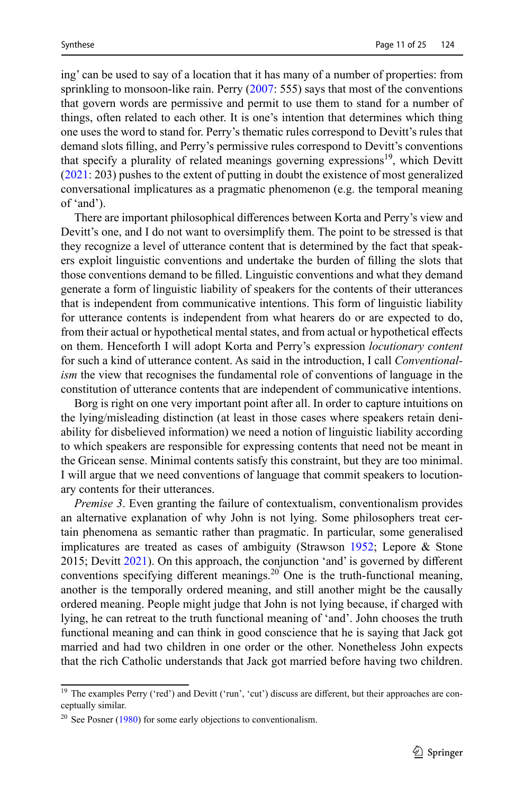ing' can be used to say of a location that it has many of a number of properties: from sprinkling to monsoon-like rain. Perry  $(2007: 555)$  $(2007: 555)$  $(2007: 555)$  says that most of the conventions that govern words are permissive and permit to use them to stand for a number of things, often related to each other. It is one's intention that determines which thing one uses the word to stand for. Perry's thematic rules correspond to Devitt's rules that demand slots filling, and Perry's permissive rules correspond to Devitt's conventions that specify a plurality of related meanings governing expressions<sup>19</sup>, which Devitt [\(2021](#page-23-6): 203) pushes to the extent of putting in doubt the existence of most generalized conversational implicatures as a pragmatic phenomenon (e.g. the temporal meaning of 'and').

There are important philosophical differences between Korta and Perry's view and Devitt's one, and I do not want to oversimplify them. The point to be stressed is that they recognize a level of utterance content that is determined by the fact that speakers exploit linguistic conventions and undertake the burden of filling the slots that those conventions demand to be filled. Linguistic conventions and what they demand generate a form of linguistic liability of speakers for the contents of their utterances that is independent from communicative intentions. This form of linguistic liability for utterance contents is independent from what hearers do or are expected to do, from their actual or hypothetical mental states, and from actual or hypothetical effects on them. Henceforth I will adopt Korta and Perry's expression *locutionary content* for such a kind of utterance content. As said in the introduction, I call *Conventionalism* the view that recognises the fundamental role of conventions of language in the constitution of utterance contents that are independent of communicative intentions.

Borg is right on one very important point after all. In order to capture intuitions on the lying/misleading distinction (at least in those cases where speakers retain deniability for disbelieved information) we need a notion of linguistic liability according to which speakers are responsible for expressing contents that need not be meant in the Gricean sense. Minimal contents satisfy this constraint, but they are too minimal. I will argue that we need conventions of language that commit speakers to locutionary contents for their utterances.

*Premise 3*. Even granting the failure of contextualism, conventionalism provides an alternative explanation of why John is not lying. Some philosophers treat certain phenomena as semantic rather than pragmatic. In particular, some generalised implicatures are treated as cases of ambiguity (Strawson [1952](#page-24-22); Lepore & Stone 2015; Devitt [2021](#page-23-6)). On this approach, the conjunction 'and' is governed by different conventions specifying different meanings.<sup>20</sup> One is the truth-functional meaning, another is the temporally ordered meaning, and still another might be the causally ordered meaning. People might judge that John is not lying because, if charged with lying, he can retreat to the truth functional meaning of 'and'. John chooses the truth functional meaning and can think in good conscience that he is saying that Jack got married and had two children in one order or the other. Nonetheless John expects that the rich Catholic understands that Jack got married before having two children.

<sup>&</sup>lt;sup>19</sup> The examples Perry ('red') and Devitt ('run', 'cut') discuss are different, but their approaches are conceptually similar.

 $20$  See Posner ([1980\)](#page-24-23) for some early objections to conventionalism.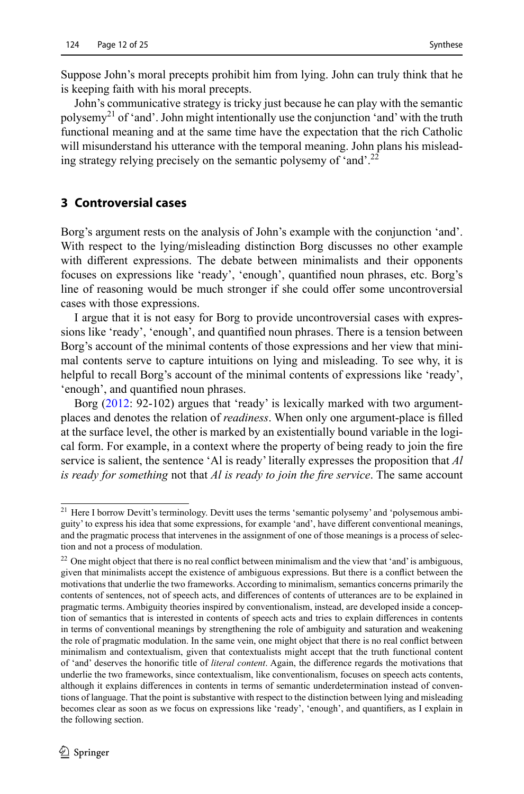Suppose John's moral precepts prohibit him from lying. John can truly think that he is keeping faith with his moral precepts.

John's communicative strategy is tricky just because he can play with the semantic polysemy<sup>21</sup> of 'and'. John might intentionally use the conjunction 'and' with the truth functional meaning and at the same time have the expectation that the rich Catholic will misunderstand his utterance with the temporal meaning. John plans his misleading strategy relying precisely on the semantic polysemy of 'and'.<sup>22</sup>

#### **3 Controversial cases**

Borg's argument rests on the analysis of John's example with the conjunction 'and'. With respect to the lying/misleading distinction Borg discusses no other example with different expressions. The debate between minimalists and their opponents focuses on expressions like 'ready', 'enough', quantified noun phrases, etc. Borg's line of reasoning would be much stronger if she could offer some uncontroversial cases with those expressions.

I argue that it is not easy for Borg to provide uncontroversial cases with expressions like 'ready', 'enough', and quantified noun phrases. There is a tension between Borg's account of the minimal contents of those expressions and her view that minimal contents serve to capture intuitions on lying and misleading. To see why, it is helpful to recall Borg's account of the minimal contents of expressions like 'ready', 'enough', and quantified noun phrases.

Borg ([2012:](#page-23-4) 92-102) argues that 'ready' is lexically marked with two argumentplaces and denotes the relation of *readiness*. When only one argument-place is filled at the surface level, the other is marked by an existentially bound variable in the logical form. For example, in a context where the property of being ready to join the fire service is salient, the sentence 'Al is ready' literally expresses the proposition that *Al is ready for something* not that *Al is ready to join the fire service*. The same account

<sup>21</sup> Here I borrow Devitt's terminology. Devitt uses the terms 'semantic polysemy' and 'polysemous ambiguity' to express his idea that some expressions, for example 'and', have different conventional meanings, and the pragmatic process that intervenes in the assignment of one of those meanings is a process of selection and not a process of modulation.

 $22$  One might object that there is no real conflict between minimalism and the view that 'and' is ambiguous, given that minimalists accept the existence of ambiguous expressions. But there is a conflict between the motivations that underlie the two frameworks. According to minimalism, semantics concerns primarily the contents of sentences, not of speech acts, and differences of contents of utterances are to be explained in pragmatic terms. Ambiguity theories inspired by conventionalism, instead, are developed inside a conception of semantics that is interested in contents of speech acts and tries to explain differences in contents in terms of conventional meanings by strengthening the role of ambiguity and saturation and weakening the role of pragmatic modulation. In the same vein, one might object that there is no real conflict between minimalism and contextualism, given that contextualists might accept that the truth functional content of 'and' deserves the honorific title of *literal content*. Again, the difference regards the motivations that underlie the two frameworks, since contextualism, like conventionalism, focuses on speech acts contents, although it explains differences in contents in terms of semantic underdetermination instead of conventions of language. That the point is substantive with respect to the distinction between lying and misleading becomes clear as soon as we focus on expressions like 'ready', 'enough', and quantifiers, as I explain in the following section.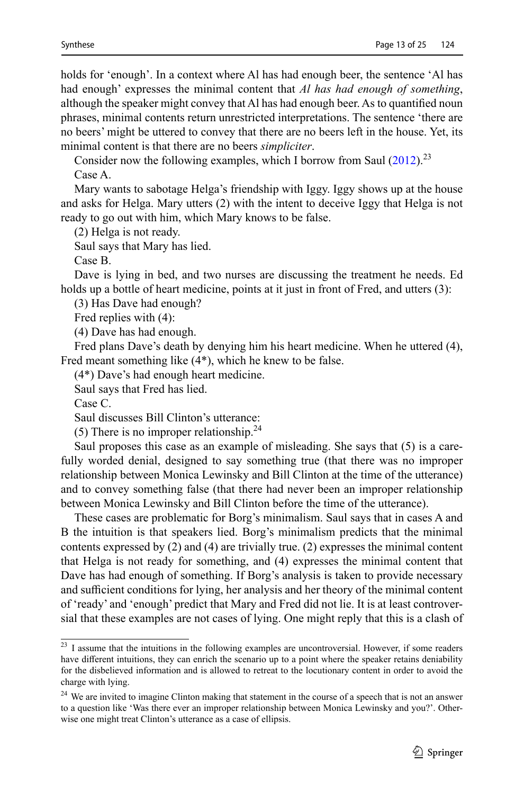holds for 'enough'. In a context where Al has had enough beer, the sentence 'Al has had enough' expresses the minimal content that *Al has had enough of something*, although the speaker might convey that Al has had enough beer. As to quantified noun phrases, minimal contents return unrestricted interpretations. The sentence 'there are no beers' might be uttered to convey that there are no beers left in the house. Yet, its minimal content is that there are no beers *simpliciter*.

Consider now the following examples, which I borrow from Saul  $(2012)^{23}$  $(2012)^{23}$ Case A.

Mary wants to sabotage Helga's friendship with Iggy. Iggy shows up at the house and asks for Helga. Mary utters (2) with the intent to deceive Iggy that Helga is not ready to go out with him, which Mary knows to be false.

(2) Helga is not ready.

Saul says that Mary has lied.

Case B.

Dave is lying in bed, and two nurses are discussing the treatment he needs. Ed holds up a bottle of heart medicine, points at it just in front of Fred, and utters (3):

(3) Has Dave had enough?

Fred replies with (4):

(4) Dave has had enough.

Fred plans Dave's death by denying him his heart medicine. When he uttered (4), Fred meant something like (4\*), which he knew to be false.

(4\*) Dave's had enough heart medicine.

Saul says that Fred has lied.

Case C.

Saul discusses Bill Clinton's utterance:

(5) There is no improper relationship.<sup>24</sup>

Saul proposes this case as an example of misleading. She says that (5) is a carefully worded denial, designed to say something true (that there was no improper relationship between Monica Lewinsky and Bill Clinton at the time of the utterance) and to convey something false (that there had never been an improper relationship between Monica Lewinsky and Bill Clinton before the time of the utterance).

These cases are problematic for Borg's minimalism. Saul says that in cases A and B the intuition is that speakers lied. Borg's minimalism predicts that the minimal contents expressed by (2) and (4) are trivially true. (2) expresses the minimal content that Helga is not ready for something, and (4) expresses the minimal content that Dave has had enough of something. If Borg's analysis is taken to provide necessary and sufficient conditions for lying, her analysis and her theory of the minimal content of 'ready' and 'enough' predict that Mary and Fred did not lie. It is at least controversial that these examples are not cases of lying. One might reply that this is a clash of

<sup>&</sup>lt;sup>23</sup> I assume that the intuitions in the following examples are uncontroversial. However, if some readers have different intuitions, they can enrich the scenario up to a point where the speaker retains deniability for the disbelieved information and is allowed to retreat to the locutionary content in order to avoid the charge with lying.

<sup>&</sup>lt;sup>24</sup> We are invited to imagine Clinton making that statement in the course of a speech that is not an answer to a question like 'Was there ever an improper relationship between Monica Lewinsky and you?'. Otherwise one might treat Clinton's utterance as a case of ellipsis.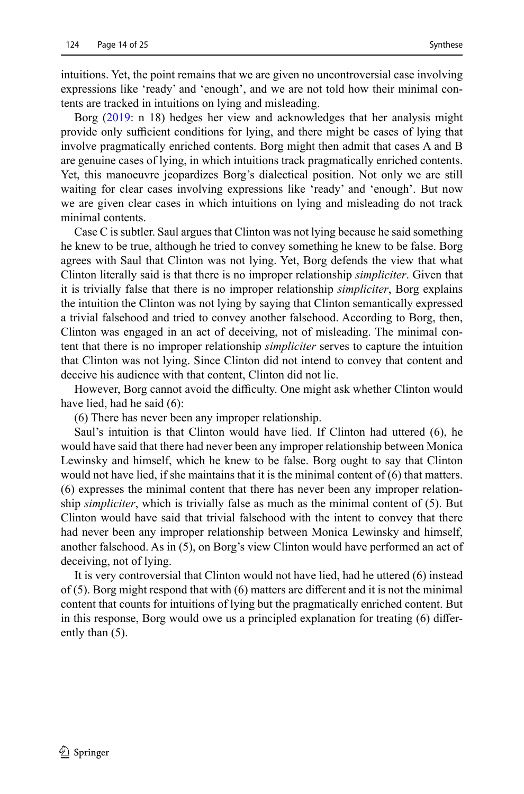intuitions. Yet, the point remains that we are given no uncontroversial case involving expressions like 'ready' and 'enough', and we are not told how their minimal contents are tracked in intuitions on lying and misleading.

Borg [\(2019](#page-23-0): n 18) hedges her view and acknowledges that her analysis might provide only sufficient conditions for lying, and there might be cases of lying that involve pragmatically enriched contents. Borg might then admit that cases A and B are genuine cases of lying, in which intuitions track pragmatically enriched contents. Yet, this manoeuvre jeopardizes Borg's dialectical position. Not only we are still waiting for clear cases involving expressions like 'ready' and 'enough'. But now we are given clear cases in which intuitions on lying and misleading do not track minimal contents.

Case C is subtler. Saul argues that Clinton was not lying because he said something he knew to be true, although he tried to convey something he knew to be false. Borg agrees with Saul that Clinton was not lying. Yet, Borg defends the view that what Clinton literally said is that there is no improper relationship *simpliciter*. Given that it is trivially false that there is no improper relationship *simpliciter*, Borg explains the intuition the Clinton was not lying by saying that Clinton semantically expressed a trivial falsehood and tried to convey another falsehood. According to Borg, then, Clinton was engaged in an act of deceiving, not of misleading. The minimal content that there is no improper relationship *simpliciter* serves to capture the intuition that Clinton was not lying. Since Clinton did not intend to convey that content and deceive his audience with that content, Clinton did not lie.

However, Borg cannot avoid the difficulty. One might ask whether Clinton would have lied, had he said (6):

(6) There has never been any improper relationship.

Saul's intuition is that Clinton would have lied. If Clinton had uttered (6), he would have said that there had never been any improper relationship between Monica Lewinsky and himself, which he knew to be false. Borg ought to say that Clinton would not have lied, if she maintains that it is the minimal content of (6) that matters. (6) expresses the minimal content that there has never been any improper relationship *simpliciter*, which is trivially false as much as the minimal content of (5). But Clinton would have said that trivial falsehood with the intent to convey that there had never been any improper relationship between Monica Lewinsky and himself, another falsehood. As in (5), on Borg's view Clinton would have performed an act of deceiving, not of lying.

It is very controversial that Clinton would not have lied, had he uttered (6) instead of (5). Borg might respond that with (6) matters are different and it is not the minimal content that counts for intuitions of lying but the pragmatically enriched content. But in this response, Borg would owe us a principled explanation for treating (6) differently than (5).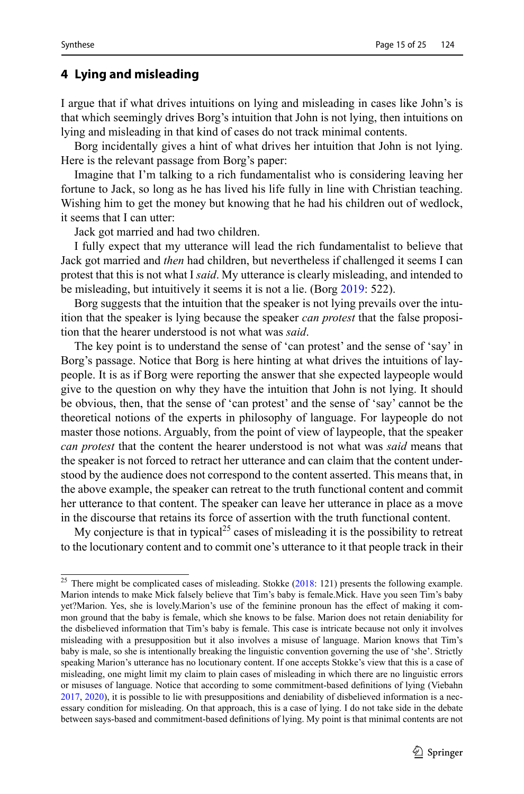## **4 Lying and misleading**

I argue that if what drives intuitions on lying and misleading in cases like John's is that which seemingly drives Borg's intuition that John is not lying, then intuitions on lying and misleading in that kind of cases do not track minimal contents.

Borg incidentally gives a hint of what drives her intuition that John is not lying. Here is the relevant passage from Borg's paper:

Imagine that I'm talking to a rich fundamentalist who is considering leaving her fortune to Jack, so long as he has lived his life fully in line with Christian teaching. Wishing him to get the money but knowing that he had his children out of wedlock, it seems that I can utter:

Jack got married and had two children.

I fully expect that my utterance will lead the rich fundamentalist to believe that Jack got married and *then* had children, but nevertheless if challenged it seems I can protest that this is not what I *said*. My utterance is clearly misleading, and intended to be misleading, but intuitively it seems it is not a lie. (Borg [2019:](#page-23-0) 522).

Borg suggests that the intuition that the speaker is not lying prevails over the intuition that the speaker is lying because the speaker *can protest* that the false proposition that the hearer understood is not what was *said*.

The key point is to understand the sense of 'can protest' and the sense of 'say' in Borg's passage. Notice that Borg is here hinting at what drives the intuitions of laypeople. It is as if Borg were reporting the answer that she expected laypeople would give to the question on why they have the intuition that John is not lying. It should be obvious, then, that the sense of 'can protest' and the sense of 'say' cannot be the theoretical notions of the experts in philosophy of language. For laypeople do not master those notions. Arguably, from the point of view of laypeople, that the speaker *can protest* that the content the hearer understood is not what was *said* means that the speaker is not forced to retract her utterance and can claim that the content understood by the audience does not correspond to the content asserted. This means that, in the above example, the speaker can retreat to the truth functional content and commit her utterance to that content. The speaker can leave her utterance in place as a move in the discourse that retains its force of assertion with the truth functional content.

My conjecture is that in typical<sup>25</sup> cases of misleading it is the possibility to retreat to the locutionary content and to commit one's utterance to it that people track in their

<sup>&</sup>lt;sup>25</sup> There might be complicated cases of misleading. Stokke ([2018:](#page-24-4) 121) presents the following example. Marion intends to make Mick falsely believe that Tim's baby is female.Mick. Have you seen Tim's baby yet?Marion. Yes, she is lovely.Marion's use of the feminine pronoun has the effect of making it common ground that the baby is female, which she knows to be false. Marion does not retain deniability for the disbelieved information that Tim's baby is female. This case is intricate because not only it involves misleading with a presupposition but it also involves a misuse of language. Marion knows that Tim's baby is male, so she is intentionally breaking the linguistic convention governing the use of 'she'. Strictly speaking Marion's utterance has no locutionary content. If one accepts Stokke's view that this is a case of misleading, one might limit my claim to plain cases of misleading in which there are no linguistic errors or misuses of language. Notice that according to some commitment-based definitions of lying (Viebahn [2017](#page-24-24), [2020](#page-24-5)), it is possible to lie with presuppositions and deniability of disbelieved information is a necessary condition for misleading. On that approach, this is a case of lying. I do not take side in the debate between says-based and commitment-based definitions of lying. My point is that minimal contents are not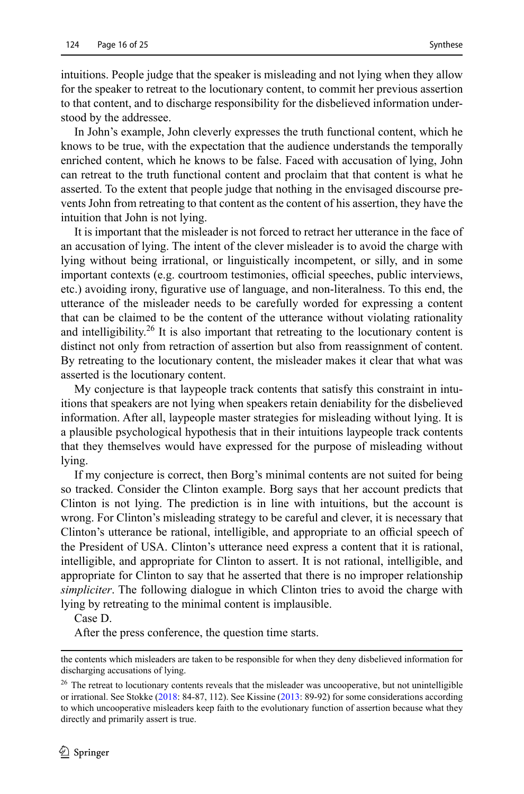intuitions. People judge that the speaker is misleading and not lying when they allow for the speaker to retreat to the locutionary content, to commit her previous assertion to that content, and to discharge responsibility for the disbelieved information understood by the addressee.

In John's example, John cleverly expresses the truth functional content, which he knows to be true, with the expectation that the audience understands the temporally enriched content, which he knows to be false. Faced with accusation of lying, John can retreat to the truth functional content and proclaim that that content is what he asserted. To the extent that people judge that nothing in the envisaged discourse prevents John from retreating to that content as the content of his assertion, they have the intuition that John is not lying.

It is important that the misleader is not forced to retract her utterance in the face of an accusation of lying. The intent of the clever misleader is to avoid the charge with lying without being irrational, or linguistically incompetent, or silly, and in some important contexts (e.g. courtroom testimonies, official speeches, public interviews, etc.) avoiding irony, figurative use of language, and non-literalness. To this end, the utterance of the misleader needs to be carefully worded for expressing a content that can be claimed to be the content of the utterance without violating rationality and intelligibility.<sup>26</sup> It is also important that retreating to the locutionary content is distinct not only from retraction of assertion but also from reassignment of content. By retreating to the locutionary content, the misleader makes it clear that what was asserted is the locutionary content.

My conjecture is that laypeople track contents that satisfy this constraint in intuitions that speakers are not lying when speakers retain deniability for the disbelieved information. After all, laypeople master strategies for misleading without lying. It is a plausible psychological hypothesis that in their intuitions laypeople track contents that they themselves would have expressed for the purpose of misleading without lying.

If my conjecture is correct, then Borg's minimal contents are not suited for being so tracked. Consider the Clinton example. Borg says that her account predicts that Clinton is not lying. The prediction is in line with intuitions, but the account is wrong. For Clinton's misleading strategy to be careful and clever, it is necessary that Clinton's utterance be rational, intelligible, and appropriate to an official speech of the President of USA. Clinton's utterance need express a content that it is rational, intelligible, and appropriate for Clinton to assert. It is not rational, intelligible, and appropriate for Clinton to say that he asserted that there is no improper relationship *simpliciter*. The following dialogue in which Clinton tries to avoid the charge with lying by retreating to the minimal content is implausible.

Case D.

After the press conference, the question time starts.

the contents which misleaders are taken to be responsible for when they deny disbelieved information for discharging accusations of lying.

<sup>&</sup>lt;sup>26</sup> The retreat to locutionary contents reveals that the misleader was uncooperative, but not unintelligible or irrational. See Stokke ([2018:](#page-24-4) 84-87, 112). See Kissine ([2013:](#page-23-14) 89-92) for some considerations according to which uncooperative misleaders keep faith to the evolutionary function of assertion because what they directly and primarily assert is true.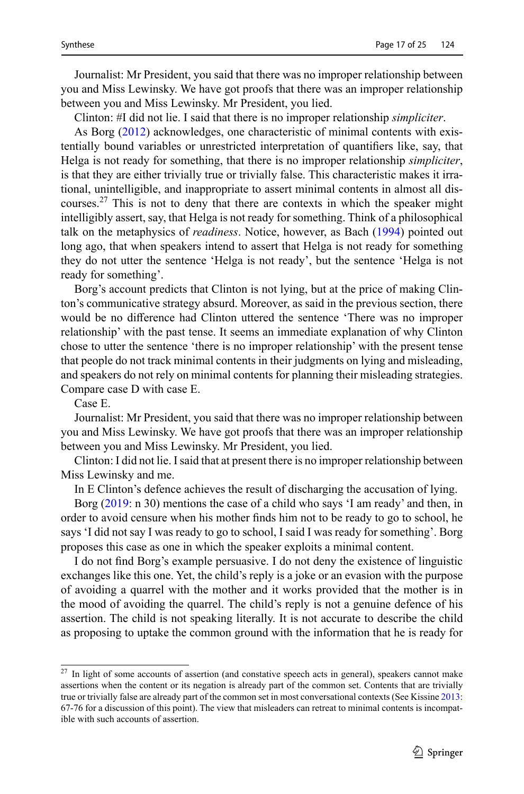Journalist: Mr President, you said that there was no improper relationship between you and Miss Lewinsky. We have got proofs that there was an improper relationship between you and Miss Lewinsky. Mr President, you lied.

Clinton: #I did not lie. I said that there is no improper relationship *simpliciter*.

As Borg [\(2012](#page-23-4)) acknowledges, one characteristic of minimal contents with existentially bound variables or unrestricted interpretation of quantifiers like, say, that Helga is not ready for something, that there is no improper relationship *simpliciter*, is that they are either trivially true or trivially false. This characteristic makes it irrational, unintelligible, and inappropriate to assert minimal contents in almost all discourses.<sup>27</sup> This is not to deny that there are contexts in which the speaker might intelligibly assert, say, that Helga is not ready for something. Think of a philosophical talk on the metaphysics of *readiness*. Notice, however, as Bach ([1994\)](#page-23-9) pointed out long ago, that when speakers intend to assert that Helga is not ready for something they do not utter the sentence 'Helga is not ready', but the sentence 'Helga is not ready for something'.

Borg's account predicts that Clinton is not lying, but at the price of making Clinton's communicative strategy absurd. Moreover, as said in the previous section, there would be no difference had Clinton uttered the sentence 'There was no improper relationship' with the past tense. It seems an immediate explanation of why Clinton chose to utter the sentence 'there is no improper relationship' with the present tense that people do not track minimal contents in their judgments on lying and misleading, and speakers do not rely on minimal contents for planning their misleading strategies. Compare case D with case E.

Case E.

Journalist: Mr President, you said that there was no improper relationship between you and Miss Lewinsky. We have got proofs that there was an improper relationship between you and Miss Lewinsky. Mr President, you lied.

Clinton: I did not lie. I said that at present there is no improper relationship between Miss Lewinsky and me.

In E Clinton's defence achieves the result of discharging the accusation of lying.

Borg [\(2019](#page-23-0): n 30) mentions the case of a child who says 'I am ready' and then, in order to avoid censure when his mother finds him not to be ready to go to school, he says 'I did not say I was ready to go to school, I said I was ready for something'. Borg proposes this case as one in which the speaker exploits a minimal content.

I do not find Borg's example persuasive. I do not deny the existence of linguistic exchanges like this one. Yet, the child's reply is a joke or an evasion with the purpose of avoiding a quarrel with the mother and it works provided that the mother is in the mood of avoiding the quarrel. The child's reply is not a genuine defence of his assertion. The child is not speaking literally. It is not accurate to describe the child as proposing to uptake the common ground with the information that he is ready for

<sup>&</sup>lt;sup>27</sup> In light of some accounts of assertion (and constative speech acts in general), speakers cannot make assertions when the content or its negation is already part of the common set. Contents that are trivially true or trivially false are already part of the common set in most conversational contexts (See Kissine [2013](#page-23-14): 67-76 for a discussion of this point). The view that misleaders can retreat to minimal contents is incompatible with such accounts of assertion.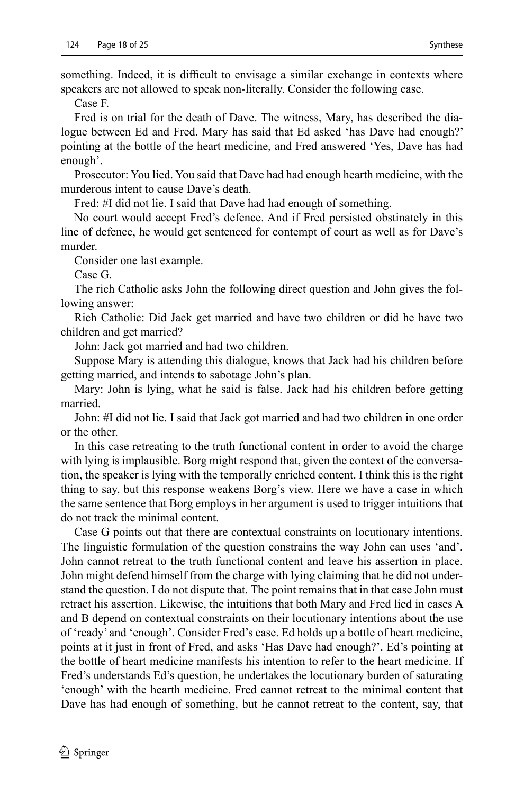something. Indeed, it is difficult to envisage a similar exchange in contexts where speakers are not allowed to speak non-literally. Consider the following case.

Case F.

Fred is on trial for the death of Dave. The witness, Mary, has described the dialogue between Ed and Fred. Mary has said that Ed asked 'has Dave had enough?' pointing at the bottle of the heart medicine, and Fred answered 'Yes, Dave has had enough'.

Prosecutor: You lied. You said that Dave had had enough hearth medicine, with the murderous intent to cause Dave's death.

Fred: #I did not lie. I said that Dave had had enough of something.

No court would accept Fred's defence. And if Fred persisted obstinately in this line of defence, he would get sentenced for contempt of court as well as for Dave's murder.

Consider one last example.

Case G.

The rich Catholic asks John the following direct question and John gives the following answer:

Rich Catholic: Did Jack get married and have two children or did he have two children and get married?

John: Jack got married and had two children.

Suppose Mary is attending this dialogue, knows that Jack had his children before getting married, and intends to sabotage John's plan.

Mary: John is lying, what he said is false. Jack had his children before getting married.

John: #I did not lie. I said that Jack got married and had two children in one order or the other.

In this case retreating to the truth functional content in order to avoid the charge with lying is implausible. Borg might respond that, given the context of the conversation, the speaker is lying with the temporally enriched content. I think this is the right thing to say, but this response weakens Borg's view. Here we have a case in which the same sentence that Borg employs in her argument is used to trigger intuitions that do not track the minimal content.

Case G points out that there are contextual constraints on locutionary intentions. The linguistic formulation of the question constrains the way John can uses 'and'. John cannot retreat to the truth functional content and leave his assertion in place. John might defend himself from the charge with lying claiming that he did not understand the question. I do not dispute that. The point remains that in that case John must retract his assertion. Likewise, the intuitions that both Mary and Fred lied in cases A and B depend on contextual constraints on their locutionary intentions about the use of 'ready' and 'enough'. Consider Fred's case. Ed holds up a bottle of heart medicine, points at it just in front of Fred, and asks 'Has Dave had enough?'. Ed's pointing at the bottle of heart medicine manifests his intention to refer to the heart medicine. If Fred's understands Ed's question, he undertakes the locutionary burden of saturating 'enough' with the hearth medicine. Fred cannot retreat to the minimal content that Dave has had enough of something, but he cannot retreat to the content, say, that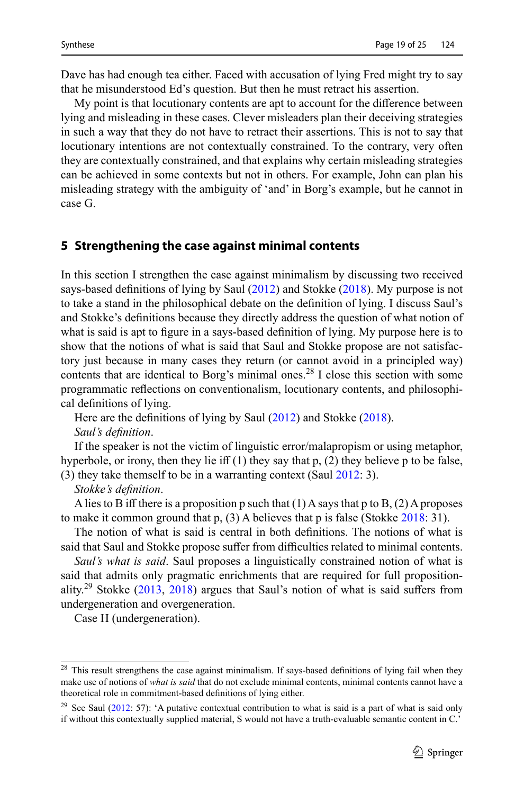Dave has had enough tea either. Faced with accusation of lying Fred might try to say that he misunderstood Ed's question. But then he must retract his assertion.

My point is that locutionary contents are apt to account for the difference between lying and misleading in these cases. Clever misleaders plan their deceiving strategies in such a way that they do not have to retract their assertions. This is not to say that locutionary intentions are not contextually constrained. To the contrary, very often they are contextually constrained, and that explains why certain misleading strategies can be achieved in some contexts but not in others. For example, John can plan his misleading strategy with the ambiguity of 'and' in Borg's example, but he cannot in case G.

#### <span id="page-18-0"></span>**5 Strengthening the case against minimal contents**

In this section I strengthen the case against minimalism by discussing two received says-based definitions of lying by Saul ([2012](#page-24-0)) and Stokke ([2018](#page-24-4)). My purpose is not to take a stand in the philosophical debate on the definition of lying. I discuss Saul's and Stokke's definitions because they directly address the question of what notion of what is said is apt to figure in a says-based definition of lying. My purpose here is to show that the notions of what is said that Saul and Stokke propose are not satisfactory just because in many cases they return (or cannot avoid in a principled way) contents that are identical to Borg's minimal ones.<sup>28</sup> I close this section with some programmatic reflections on conventionalism, locutionary contents, and philosophical definitions of lying.

Here are the definitions of lying by Saul ([2012](#page-24-0)) and Stokke ([2018\)](#page-24-4).

*Saul's definition*.

If the speaker is not the victim of linguistic error/malapropism or using metaphor, hyperbole, or irony, then they lie iff  $(1)$  they say that p,  $(2)$  they believe p to be false, (3) they take themself to be in a warranting context (Saul [2012:](#page-24-0) 3).

*Stokke's definition*.

A lies to B iff there is a proposition p such that  $(1)$  A says that p to B,  $(2)$  A proposes to make it common ground that  $p$ , (3) A believes that  $p$  is false (Stokke [2018:](#page-24-4) 31).

The notion of what is said is central in both definitions. The notions of what is said that Saul and Stokke propose suffer from difficulties related to minimal contents.

*Saul's what is said*. Saul proposes a linguistically constrained notion of what is said that admits only pragmatic enrichments that are required for full propositionality.<sup>29</sup> Stokke  $(2013, 2018)$  $(2013, 2018)$  $(2013, 2018)$  $(2013, 2018)$  $(2013, 2018)$  argues that Saul's notion of what is said suffers from undergeneration and overgeneration.

Case H (undergeneration).

 $28$  This result strengthens the case against minimalism. If says-based definitions of lying fail when they make use of notions of *what is said* that do not exclude minimal contents, minimal contents cannot have a theoretical role in commitment-based definitions of lying either.

<sup>&</sup>lt;sup>29</sup> See Saul [\(2012](#page-24-0): 57): 'A putative contextual contribution to what is said is a part of what is said only if without this contextually supplied material, S would not have a truth-evaluable semantic content in C.'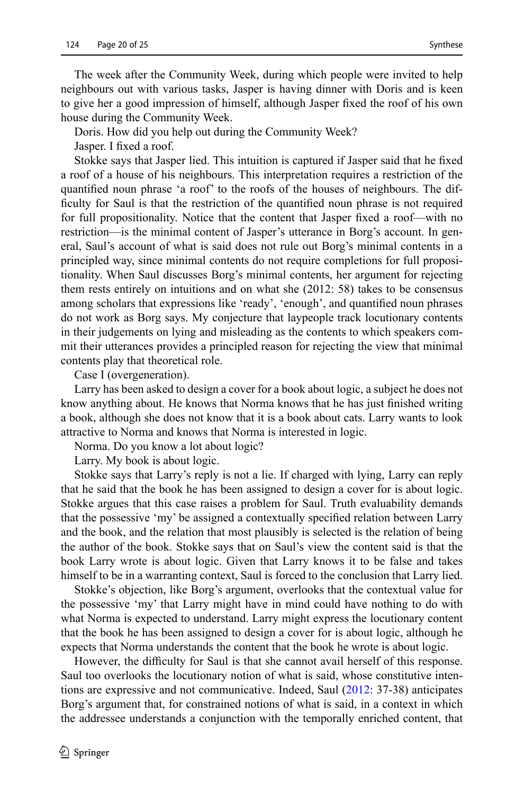The week after the Community Week, during which people were invited to help neighbours out with various tasks, Jasper is having dinner with Doris and is keen to give her a good impression of himself, although Jasper fixed the roof of his own house during the Community Week.

Doris. How did you help out during the Community Week?

Jasper. I fixed a roof.

Stokke says that Jasper lied. This intuition is captured if Jasper said that he fixed a roof of a house of his neighbours. This interpretation requires a restriction of the quantified noun phrase 'a roof' to the roofs of the houses of neighbours. The difficulty for Saul is that the restriction of the quantified noun phrase is not required for full propositionality. Notice that the content that Jasper fixed a roof—with no restriction—is the minimal content of Jasper's utterance in Borg's account. In general, Saul's account of what is said does not rule out Borg's minimal contents in a principled way, since minimal contents do not require completions for full propositionality. When Saul discusses Borg's minimal contents, her argument for rejecting them rests entirely on intuitions and on what she (2012: 58) takes to be consensus among scholars that expressions like 'ready', 'enough', and quantified noun phrases do not work as Borg says. My conjecture that laypeople track locutionary contents in their judgements on lying and misleading as the contents to which speakers commit their utterances provides a principled reason for rejecting the view that minimal contents play that theoretical role.

Case I (overgeneration).

Larry has been asked to design a cover for a book about logic, a subject he does not know anything about. He knows that Norma knows that he has just finished writing a book, although she does not know that it is a book about cats. Larry wants to look attractive to Norma and knows that Norma is interested in logic.

Norma. Do you know a lot about logic?

Larry. My book is about logic.

Stokke says that Larry's reply is not a lie. If charged with lying, Larry can reply that he said that the book he has been assigned to design a cover for is about logic. Stokke argues that this case raises a problem for Saul. Truth evaluability demands that the possessive 'my' be assigned a contextually specified relation between Larry and the book, and the relation that most plausibly is selected is the relation of being the author of the book. Stokke says that on Saul's view the content said is that the book Larry wrote is about logic. Given that Larry knows it to be false and takes himself to be in a warranting context, Saul is forced to the conclusion that Larry lied.

Stokke's objection, like Borg's argument, overlooks that the contextual value for the possessive 'my' that Larry might have in mind could have nothing to do with what Norma is expected to understand. Larry might express the locutionary content that the book he has been assigned to design a cover for is about logic, although he expects that Norma understands the content that the book he wrote is about logic.

However, the difficulty for Saul is that she cannot avail herself of this response. Saul too overlooks the locutionary notion of what is said, whose constitutive intentions are expressive and not communicative. Indeed, Saul [\(2012](#page-24-0): 37-38) anticipates Borg's argument that, for constrained notions of what is said, in a context in which the addressee understands a conjunction with the temporally enriched content, that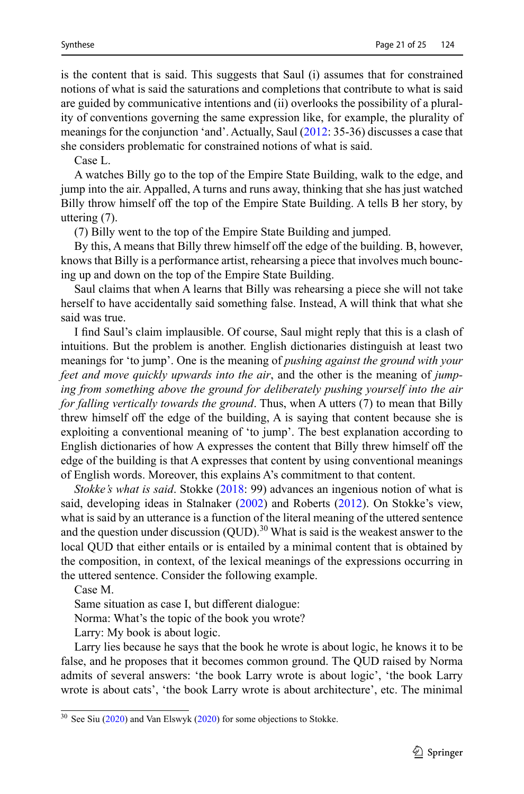is the content that is said. This suggests that Saul (i) assumes that for constrained notions of what is said the saturations and completions that contribute to what is said are guided by communicative intentions and (ii) overlooks the possibility of a plurality of conventions governing the same expression like, for example, the plurality of meanings for the conjunction 'and'. Actually, Saul ([2012:](#page-24-0) 35-36) discusses a case that she considers problematic for constrained notions of what is said.

Case L.

A watches Billy go to the top of the Empire State Building, walk to the edge, and jump into the air. Appalled, A turns and runs away, thinking that she has just watched Billy throw himself off the top of the Empire State Building. A tells B her story, by uttering (7).

(7) Billy went to the top of the Empire State Building and jumped.

By this, A means that Billy threw himself off the edge of the building. B, however, knows that Billy is a performance artist, rehearsing a piece that involves much bouncing up and down on the top of the Empire State Building.

Saul claims that when A learns that Billy was rehearsing a piece she will not take herself to have accidentally said something false. Instead, A will think that what she said was true.

I find Saul's claim implausible. Of course, Saul might reply that this is a clash of intuitions. But the problem is another. English dictionaries distinguish at least two meanings for 'to jump'. One is the meaning of *pushing against the ground with your feet and move quickly upwards into the air*, and the other is the meaning of *jumping from something above the ground for deliberately pushing yourself into the air for falling vertically towards the ground*. Thus, when A utters (7) to mean that Billy threw himself off the edge of the building, A is saying that content because she is exploiting a conventional meaning of 'to jump'. The best explanation according to English dictionaries of how A expresses the content that Billy threw himself off the edge of the building is that A expresses that content by using conventional meanings of English words. Moreover, this explains A's commitment to that content.

*Stokke's what is said*. Stokke ([2018:](#page-24-4) 99) advances an ingenious notion of what is said, developing ideas in Stalnaker [\(2002](#page-24-26)) and Roberts ([2012\)](#page-24-27). On Stokke's view, what is said by an utterance is a function of the literal meaning of the uttered sentence and the question under discussion (QUD).<sup>30</sup> What is said is the weakest answer to the local QUD that either entails or is entailed by a minimal content that is obtained by the composition, in context, of the lexical meanings of the expressions occurring in the uttered sentence. Consider the following example.

Case M.

Same situation as case I, but different dialogue:

Norma: What's the topic of the book you wrote?

Larry: My book is about logic.

Larry lies because he says that the book he wrote is about logic, he knows it to be false, and he proposes that it becomes common ground. The QUD raised by Norma admits of several answers: 'the book Larry wrote is about logic', 'the book Larry wrote is about cats', 'the book Larry wrote is about architecture', etc. The minimal

 $30$  See Siu ([2020](#page-24-28)) and Van Elswyk ([2020\)](#page-24-29) for some objections to Stokke.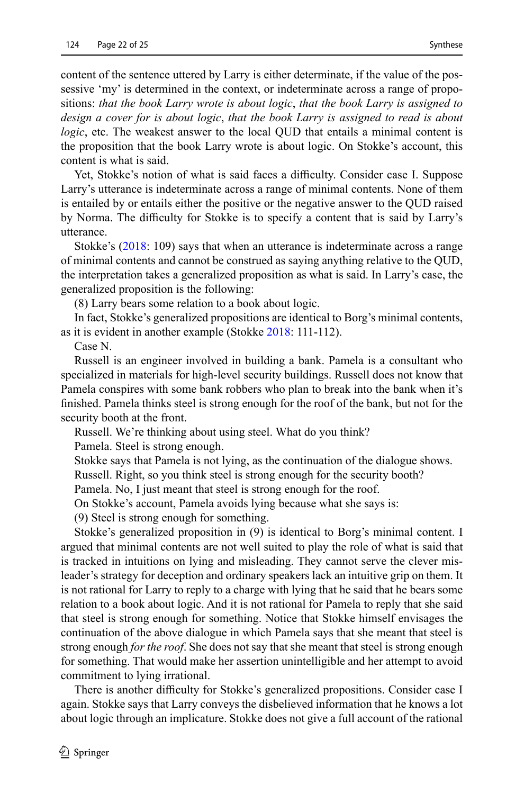content of the sentence uttered by Larry is either determinate, if the value of the possessive 'my' is determined in the context, or indeterminate across a range of propositions: *that the book Larry wrote is about logic*, *that the book Larry is assigned to design a cover for is about logic*, *that the book Larry is assigned to read is about logic*, etc. The weakest answer to the local QUD that entails a minimal content is the proposition that the book Larry wrote is about logic. On Stokke's account, this content is what is said.

Yet, Stokke's notion of what is said faces a difficulty. Consider case I. Suppose Larry's utterance is indeterminate across a range of minimal contents. None of them is entailed by or entails either the positive or the negative answer to the QUD raised by Norma. The difficulty for Stokke is to specify a content that is said by Larry's utterance.

Stokke's ([2018:](#page-24-4) 109) says that when an utterance is indeterminate across a range of minimal contents and cannot be construed as saying anything relative to the QUD, the interpretation takes a generalized proposition as what is said. In Larry's case, the generalized proposition is the following:

(8) Larry bears some relation to a book about logic.

In fact, Stokke's generalized propositions are identical to Borg's minimal contents, as it is evident in another example (Stokke [2018:](#page-24-4) 111-112).

Case N.

Russell is an engineer involved in building a bank. Pamela is a consultant who specialized in materials for high-level security buildings. Russell does not know that Pamela conspires with some bank robbers who plan to break into the bank when it's finished. Pamela thinks steel is strong enough for the roof of the bank, but not for the security booth at the front.

Russell. We're thinking about using steel. What do you think?

Pamela. Steel is strong enough.

Stokke says that Pamela is not lying, as the continuation of the dialogue shows. Russell. Right, so you think steel is strong enough for the security booth?

Pamela. No, I just meant that steel is strong enough for the roof.

On Stokke's account, Pamela avoids lying because what she says is:

(9) Steel is strong enough for something.

Stokke's generalized proposition in (9) is identical to Borg's minimal content. I argued that minimal contents are not well suited to play the role of what is said that is tracked in intuitions on lying and misleading. They cannot serve the clever misleader's strategy for deception and ordinary speakers lack an intuitive grip on them. It is not rational for Larry to reply to a charge with lying that he said that he bears some relation to a book about logic. And it is not rational for Pamela to reply that she said that steel is strong enough for something. Notice that Stokke himself envisages the continuation of the above dialogue in which Pamela says that she meant that steel is strong enough *for the roof*. She does not say that she meant that steel is strong enough for something. That would make her assertion unintelligible and her attempt to avoid commitment to lying irrational.

There is another difficulty for Stokke's generalized propositions. Consider case I again. Stokke says that Larry conveys the disbelieved information that he knows a lot about logic through an implicature. Stokke does not give a full account of the rational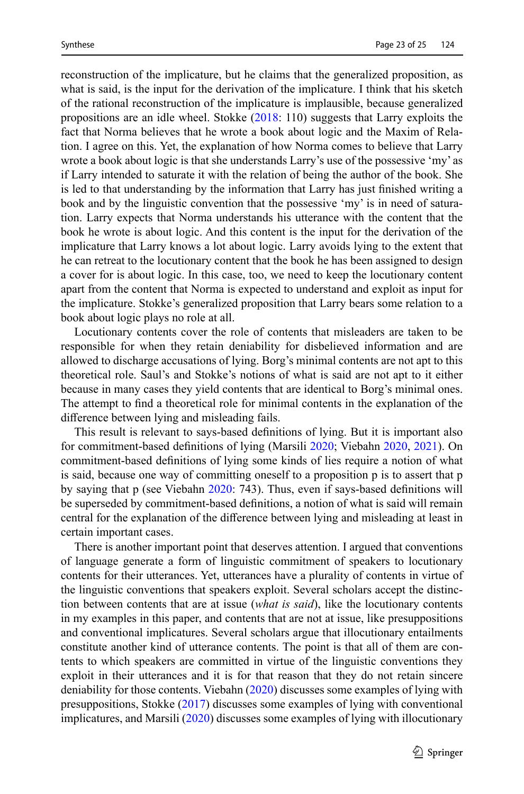reconstruction of the implicature, but he claims that the generalized proposition, as what is said, is the input for the derivation of the implicature. I think that his sketch of the rational reconstruction of the implicature is implausible, because generalized propositions are an idle wheel. Stokke  $(2018: 110)$  $(2018: 110)$  $(2018: 110)$  suggests that Larry exploits the fact that Norma believes that he wrote a book about logic and the Maxim of Relation. I agree on this. Yet, the explanation of how Norma comes to believe that Larry wrote a book about logic is that she understands Larry's use of the possessive 'my' as if Larry intended to saturate it with the relation of being the author of the book. She is led to that understanding by the information that Larry has just finished writing a book and by the linguistic convention that the possessive 'my' is in need of saturation. Larry expects that Norma understands his utterance with the content that the book he wrote is about logic. And this content is the input for the derivation of the implicature that Larry knows a lot about logic. Larry avoids lying to the extent that he can retreat to the locutionary content that the book he has been assigned to design a cover for is about logic. In this case, too, we need to keep the locutionary content apart from the content that Norma is expected to understand and exploit as input for the implicature. Stokke's generalized proposition that Larry bears some relation to a book about logic plays no role at all.

Locutionary contents cover the role of contents that misleaders are taken to be responsible for when they retain deniability for disbelieved information and are allowed to discharge accusations of lying. Borg's minimal contents are not apt to this theoretical role. Saul's and Stokke's notions of what is said are not apt to it either because in many cases they yield contents that are identical to Borg's minimal ones. The attempt to find a theoretical role for minimal contents in the explanation of the difference between lying and misleading fails.

This result is relevant to says-based definitions of lying. But it is important also for commitment-based definitions of lying (Marsili [2020](#page-24-7); Viebahn [2020,](#page-24-5) [2021](#page-24-6)). On commitment-based definitions of lying some kinds of lies require a notion of what is said, because one way of committing oneself to a proposition p is to assert that p by saying that p (see Viebahn [2020](#page-24-5): 743). Thus, even if says-based definitions will be superseded by commitment-based definitions, a notion of what is said will remain central for the explanation of the difference between lying and misleading at least in certain important cases.

There is another important point that deserves attention. I argued that conventions of language generate a form of linguistic commitment of speakers to locutionary contents for their utterances. Yet, utterances have a plurality of contents in virtue of the linguistic conventions that speakers exploit. Several scholars accept the distinction between contents that are at issue (*what is said*), like the locutionary contents in my examples in this paper, and contents that are not at issue, like presuppositions and conventional implicatures. Several scholars argue that illocutionary entailments constitute another kind of utterance contents. The point is that all of them are contents to which speakers are committed in virtue of the linguistic conventions they exploit in their utterances and it is for that reason that they do not retain sincere deniability for those contents. Viebahn ([2020](#page-24-5)) discusses some examples of lying with presuppositions, Stokke ([2017\)](#page-24-30) discusses some examples of lying with conventional implicatures, and Marsili ([2020](#page-24-7)) discusses some examples of lying with illocutionary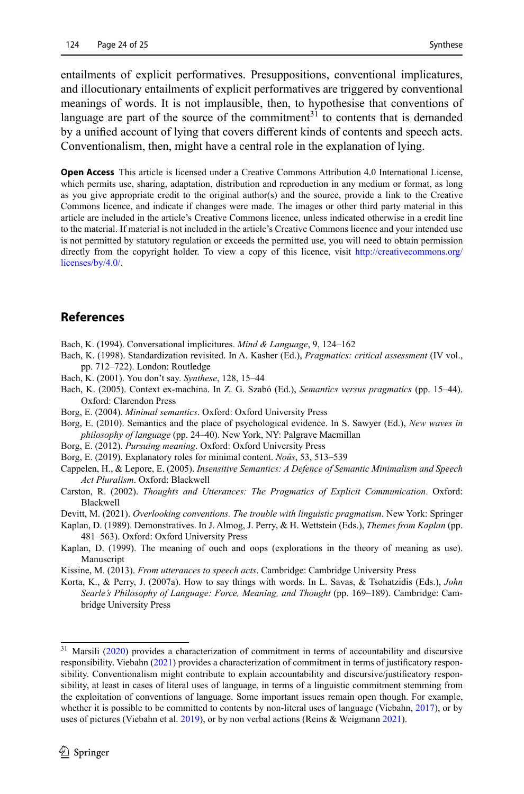entailments of explicit performatives. Presuppositions, conventional implicatures, and illocutionary entailments of explicit performatives are triggered by conventional meanings of words. It is not implausible, then, to hypothesise that conventions of language are part of the source of the commitment<sup>31</sup> to contents that is demanded by a unified account of lying that covers different kinds of contents and speech acts. Conventionalism, then, might have a central role in the explanation of lying.

**Open Access** This article is licensed under a Creative Commons Attribution 4.0 International License, which permits use, sharing, adaptation, distribution and reproduction in any medium or format, as long as you give appropriate credit to the original author(s) and the source, provide a link to the Creative Commons licence, and indicate if changes were made. The images or other third party material in this article are included in the article's Creative Commons licence, unless indicated otherwise in a credit line to the material. If material is not included in the article's Creative Commons licence and your intended use is not permitted by statutory regulation or exceeds the permitted use, you will need to obtain permission directly from the copyright holder. To view a copy of this licence, visit [http://creativecommons.org/](http://creativecommons.org/licenses/by/4.0/) [licenses/by/4.0/](http://creativecommons.org/licenses/by/4.0/).

#### **References**

- <span id="page-23-9"></span>Bach, K. (1994). Conversational implicitures. *Mind & Language*, 9, 124–162
- <span id="page-23-13"></span>Bach, K. (1998). Standardization revisited. In A. Kasher (Ed.), *Pragmatics: critical assessment* (IV vol., pp. 712–722). London: Routledge
- <span id="page-23-10"></span>Bach, K. (2001). You don't say. *Synthese*, 128, 15–44
- <span id="page-23-12"></span>Bach, K. (2005). Context ex-machina. In Z. G. Szabó (Ed.), *Semantics versus pragmatics* (pp. 15–44). Oxford: Clarendon Press
- <span id="page-23-3"></span>Borg, E. (2004). *Minimal semantics*. Oxford: Oxford University Press
- <span id="page-23-1"></span>Borg, E. (2010). Semantics and the place of psychological evidence. In S. Sawyer (Ed.), *New waves in philosophy of language* (pp. 24–40). New York, NY: Palgrave Macmillan
- <span id="page-23-4"></span>Borg, E. (2012). *Pursuing meaning*. Oxford: Oxford University Press
- <span id="page-23-0"></span>Borg, E. (2019). Explanatory roles for minimal content. *Noûs*, 53, 513–539
- <span id="page-23-2"></span>Cappelen, H., & Lepore, E. (2005). *Insensitive Semantics: A Defence of Semantic Minimalism and Speech Act Pluralism*. Oxford: Blackwell
- <span id="page-23-7"></span>Carston, R. (2002). *Thoughts and Utterances: The Pragmatics of Explicit Communication*. Oxford: Blackwell
- <span id="page-23-6"></span>Devitt, M. (2021). *Overlooking conventions. The trouble with linguistic pragmatism*. New York: Springer
- <span id="page-23-5"></span>Kaplan, D. (1989). Demonstratives. In J. Almog, J. Perry, & H. Wettstein (Eds.), *Themes from Kaplan* (pp. 481–563). Oxford: Oxford University Press
- <span id="page-23-11"></span>Kaplan, D. (1999). The meaning of ouch and oops (explorations in the theory of meaning as use). Manuscript
- <span id="page-23-14"></span>Kissine, M. (2013). *From utterances to speech acts*. Cambridge: Cambridge University Press
- <span id="page-23-8"></span>Korta, K., & Perry, J. (2007a). How to say things with words. In L. Savas, & Tsohatzidis (Eds.), *John Searle's Philosophy of Language: Force, Meaning, and Thought* (pp. 169–189). Cambridge: Cambridge University Press

<sup>&</sup>lt;sup>31</sup> Marsili ([2020](#page-24-7)) provides a characterization of commitment in terms of accountability and discursive responsibility. Viebahn ([2021](#page-24-6)) provides a characterization of commitment in terms of justificatory responsibility. Conventionalism might contribute to explain accountability and discursive/justificatory responsibility, at least in cases of literal uses of language, in terms of a linguistic commitment stemming from the exploitation of conventions of language. Some important issues remain open though. For example, whether it is possible to be committed to contents by non-literal uses of language (Viebahn, [2017\)](#page-24-24), or by uses of pictures (Viebahn et al. [2019](#page-24-31)), or by non verbal actions (Reins & Weigmann [2021](#page-24-2)).